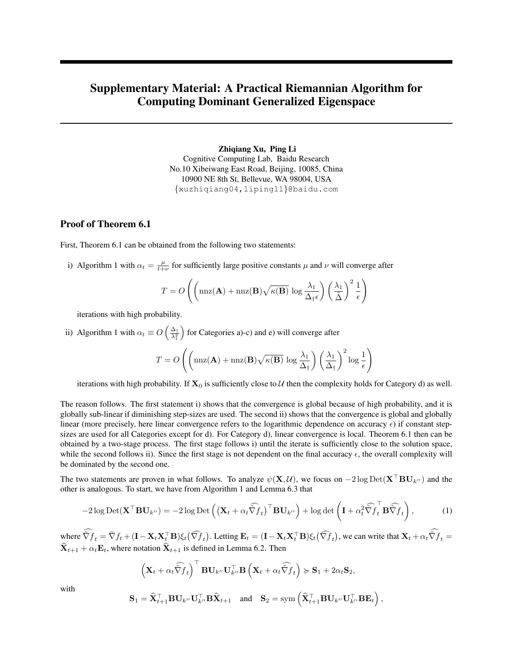# Supplementary Material: A Practical Riemannian Algorithm for Computing Dominant Generalized Eigenspace

Zhiqiang Xu, Ping Li Cognitive Computing Lab, Baidu Research No.10 Xibeiwang East Road, Beijing, 10085, China 10900 NE 8th St, Bellevue, WA 98004, USA {xuzhiqiang04,liping11}@baidu.com

#### Proof of Theorem 6.1

First, Theorem 6.1 can be obtained from the following two statements:

i) Algorithm 1 with  $\alpha_t = \frac{\mu}{t+\nu}$  for sufficiently large positive constants  $\mu$  and  $\nu$  will converge after

$$
T = O\left(\left(\max(\mathbf{A}) + \max(\mathbf{B})\sqrt{\kappa(\mathbf{B})}\log \frac{\lambda_1}{\Delta_{\dagger}\epsilon}\right) \left(\frac{\lambda_1}{\tilde{\Delta}}\right)^2 \frac{1}{\epsilon}\right)
$$

iterations with high probability.

ii) Algorithm 1 with  $\alpha_t \equiv O\left(\frac{\Delta_t}{\lambda^2}\right)$  $\lambda_1^2$ for Categories a)-c) and e) will converge after

$$
T = O\left(\left(\max(\mathbf{A}) + \max(\mathbf{B})\sqrt{\kappa(\mathbf{B})}\log \frac{\lambda_1}{\Delta_{\dagger}}\right) \left(\frac{\lambda_1}{\Delta_{\dagger}}\right)^2 \log \frac{1}{\epsilon}\right)
$$

iterations with high probability. If  $X_0$  is sufficiently close to U then the complexity holds for Category d) as well.

The reason follows. The first statement i) shows that the convergence is global because of high probability, and it is globally sub-linear if diminishing step-sizes are used. The second ii) shows that the convergence is global and globally linear (more precisely, here linear convergence refers to the logarithmic dependence on accuracy  $\epsilon$ ) if constant stepsizes are used for all Categories except for d). For Category d), linear convergence is local. Theorem 6.1 then can be obtained by a two-stage process. The first stage follows i) until the iterate is sufficiently close to the solution space, while the second follows ii). Since the first stage is not dependent on the final accuracy  $\epsilon$ , the overall complexity will be dominated by the second one.

The two statements are proven in what follows. To analyze  $\psi(X, \mathcal{U})$ , we focus on  $-2 \log \mathrm{Det}(X^{\dagger}BU_{k''})$  and the other is analogous. To start, we have from Algorithm 1 and Lemma 6.3 that

<span id="page-0-0"></span>
$$
-2\log \text{Det}(\mathbf{X}^{\top} \mathbf{B} \mathbf{U}_{k^{\prime\prime}}) = -2\log \text{Det}\left((\mathbf{X}_{t} + \alpha_{t} \widehat{\tilde{\nabla} f}_{t})^{\top} \mathbf{B} \mathbf{U}_{k^{\prime\prime}}\right) + \log \det\left(\mathbf{I} + \alpha_{t}^{2} \widehat{\tilde{\nabla} f}_{t}^{\top} \mathbf{B} \widehat{\tilde{\nabla} f}_{t}\right),\tag{1}
$$

where  $\tilde{\nabla} f_t = \tilde{\nabla} f_t + (\mathbf{I} - \mathbf{X}_t \mathbf{X}_t^\top \mathbf{B}) \xi_t (\widehat{\nabla} f_t)$ . Letting  $\mathbf{E}_t = (\mathbf{I} - \mathbf{X}_t \mathbf{X}_t^\top \mathbf{B}) \xi_t (\widehat{\nabla} f_t)$ , we can write that  $\mathbf{X}_t + \alpha_t \tilde{\nabla} f_t = \widehat{\nabla} f_t$  $X_{t+1} + \alpha_t E_t$ , where notation  $X_{t+1}$  is defined in Lemma 6.2. Then

$$
\left(\mathbf{X}_{t}+\alpha_{t}\widehat{\tilde{\nabla}f}_{t}\right)^{\top}\mathbf{B}\mathbf{U}_{k''}\mathbf{U}_{k''}^{\top}\mathbf{B}\left(\mathbf{X}_{t}+\alpha_{t}\widehat{\tilde{\nabla}f}_{t}\right) \succcurlyeq \mathbf{S}_{1}+2\alpha_{t}\mathbf{S}_{2},
$$

with

$$
\mathbf{S}_1 = \widehat{\mathbf{X}}_{t+1}^\top \mathbf{B} \mathbf{U}_{k''} \mathbf{U}_{k''}^\top \mathbf{B} \widehat{\mathbf{X}}_{t+1} \quad \text{and} \quad \mathbf{S}_2 = \text{sym} \left( \widehat{\mathbf{X}}_{t+1}^\top \mathbf{B} \mathbf{U}_{k''} \mathbf{U}_{k''}^\top \mathbf{B} \mathbf{E}_t \right),
$$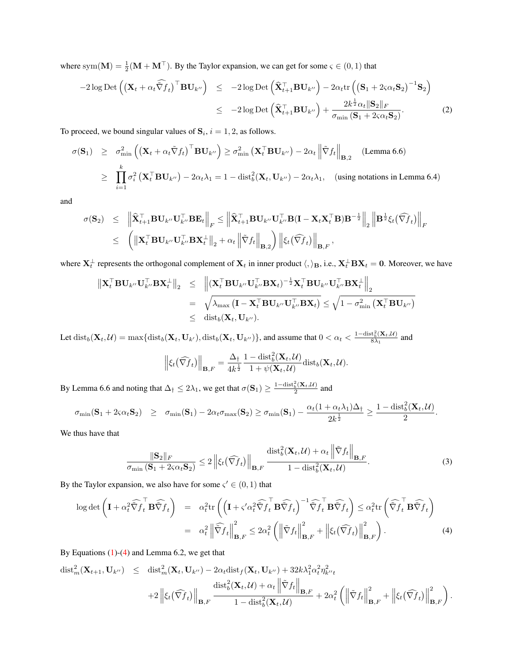where sym $(M) = \frac{1}{2}(M + M^{\top})$ . By the Taylor expansion, we can get for some  $\varsigma \in (0, 1)$  that

$$
-2\log \mathrm{Det}\left(\left(\mathbf{X}_{t}+\alpha_{t}\widehat{\nabla}f_{t}\right)^{\top}\mathbf{B}\mathbf{U}_{k''}\right) \leq -2\log \mathrm{Det}\left(\widehat{\mathbf{X}}_{t+1}^{\top}\mathbf{B}\mathbf{U}_{k''}\right) - 2\alpha_{t}\mathrm{tr}\left(\left(\mathbf{S}_{1}+2\varsigma\alpha_{t}\mathbf{S}_{2}\right)^{-1}\mathbf{S}_{2}\right) \leq -2\log \mathrm{Det}\left(\widehat{\mathbf{X}}_{t+1}^{\top}\mathbf{B}\mathbf{U}_{k''}\right) + \frac{2k^{\frac{1}{2}}\alpha_{t}\|\mathbf{S}_{2}\|_{F}}{\sigma_{\min}\left(\mathbf{S}_{1}+2\varsigma\alpha_{t}\mathbf{S}_{2}\right)}.
$$
\n(2)

To proceed, we bound singular values of  $S_i$ ,  $i = 1, 2$ , as follows.

$$
\sigma(\mathbf{S}_1) \geq \sigma_{\min}^2 \left( \left( \mathbf{X}_t + \alpha_t \tilde{\nabla} f_t \right)^\top \mathbf{B} \mathbf{U}_{k''} \right) \geq \sigma_{\min}^2 \left( \mathbf{X}_t^\top \mathbf{B} \mathbf{U}_{k''} \right) - 2\alpha_t \left\| \tilde{\nabla} f_t \right\|_{\mathbf{B},2} \quad \text{(Lemma 6.6)}
$$
\n
$$
\geq \prod_{i=1}^k \sigma_i^2 \left( \mathbf{X}_t^\top \mathbf{B} \mathbf{U}_{k''} \right) - 2\alpha_t \lambda_1 = 1 - \text{dist}_b^2(\mathbf{X}_t, \mathbf{U}_{k''}) - 2\alpha_t \lambda_1, \quad \text{(using notations in Lemma 6.4)}
$$

and

$$
\begin{array}{rcl}\n\sigma(\mathbf{S}_{2}) & \leq & \left\| \widehat{\mathbf{X}}_{t+1}^{\top} \mathbf{B} \mathbf{U}_{k''} \mathbf{U}_{k''}^{\top} \mathbf{B} \mathbf{E}_{t} \right\|_{F} \leq & \left\| \widehat{\mathbf{X}}_{t+1}^{\top} \mathbf{B} \mathbf{U}_{k''} \mathbf{U}_{k''}^{\top} \mathbf{B} (\mathbf{I} - \mathbf{X}_{t} \mathbf{X}_{t}^{\top} \mathbf{B}) \mathbf{B}^{-\frac{1}{2}} \right\|_{2} \left\| \mathbf{B}^{\frac{1}{2}} \xi_{t} \left( \widehat{\nabla f}_{t} \right) \right\|_{F} \\
& \leq & \left( \left\| \mathbf{X}_{t}^{\top} \mathbf{B} \mathbf{U}_{k''} \mathbf{U}_{k''}^{\top} \mathbf{B} \mathbf{X}_{t}^{\perp} \right\|_{2} + \alpha_{t} \left\| \tilde{\nabla} f_{t} \right\|_{\mathbf{B},2} \right) \left\| \xi_{t} \left( \widehat{\nabla f}_{t} \right) \right\|_{\mathbf{B},F},\n\end{array}
$$

where  $\mathbf{X}_t^{\perp}$  represents the orthogonal complement of  $\mathbf{X}_t$  in inner product  $\langle,\rangle_\mathbf{B}$ , i.e.,  $\mathbf{X}_t^{\perp}\mathbf{B}\mathbf{X}_t = \mathbf{0}$ . Moreover, we have

$$
\begin{array}{rcl}\n\left\| \mathbf{X}_{t}^{\top} \mathbf{B} \mathbf{U}_{k''} \mathbf{U}_{k''}^{\top} \mathbf{B} \mathbf{X}_{t}^{\perp} \right\|_{2} & \leq & \left\| (\mathbf{X}_{t}^{\top} \mathbf{B} \mathbf{U}_{k''} \mathbf{U}_{k''}^{\top} \mathbf{B} \mathbf{X}_{t})^{-\frac{1}{2}} \mathbf{X}_{t}^{\top} \mathbf{B} \mathbf{U}_{k''} \mathbf{U}_{k''}^{\top} \mathbf{B} \mathbf{X}_{t}^{\perp} \right\|_{2} \\
& = & \sqrt{\lambda_{\max} (\mathbf{I} - \mathbf{X}_{t}^{\top} \mathbf{B} \mathbf{U}_{k''} \mathbf{U}_{k''}^{\top} \mathbf{B} \mathbf{X}_{t})} \leq \sqrt{1 - \sigma_{\min}^{2} (\mathbf{X}_{t}^{\top} \mathbf{B} \mathbf{U}_{k''})} \\
& \leq & \text{dist}_{b}(\mathbf{X}_{t}, \mathbf{U}_{k''}).\n\end{array}
$$

Let  $dist_b(\mathbf{X}_t, \mathcal{U}) = \max\{dist_b(\mathbf{X}_t, \mathbf{U}_{k'}) , dist_b(\mathbf{X}_t, \mathbf{U}_{k''})\}$ , and assume that  $0 < \alpha_t < \frac{1-\text{dist}_b^2(\mathbf{X}_t, \mathcal{U})}{8\lambda_t}$  $\frac{\partial \mathbf{a}_b(\mathbf{A}_t, \mathcal{U})}{\partial \lambda_1}$  and

$$
\left\|\xi_t(\widehat{\nabla f}_t)\right\|_{\mathbf{B},F} = \frac{\Delta_{\dagger}}{4k^{\frac{1}{2}}} \frac{1-\text{dist}_b^2(\mathbf{X}_t,\mathcal{U})}{1+\psi(\mathbf{X}_t,\mathcal{U})} \text{dist}_b(\mathbf{X}_t,\mathcal{U}).
$$

By Lemma 6.6 and noting that  $\Delta_{\dagger} \leq 2\lambda_1$ , we get that  $\sigma(S_1) \geq \frac{1-\text{dist}_b^2(\mathbf{X}_t,\mathcal{U})}{2}$  and

$$
\sigma_{\min}(\mathbf{S}_1 + 2\varsigma\alpha_t\mathbf{S}_2) \quad \geq \quad \sigma_{\min}(\mathbf{S}_1) - 2\alpha_t\sigma_{\max}(\mathbf{S}_2) \geq \sigma_{\min}(\mathbf{S}_1) - \frac{\alpha_t(1 + \alpha_t\lambda_1)\Delta_1}{2k^{\frac{1}{2}}} \geq \frac{1 - \text{dist}_b^2(\mathbf{X}_t, \mathcal{U})}{2}.
$$

We thus have that

$$
\frac{\|\mathbf{S}_2\|_F}{\sigma_{\min}(\mathbf{S}_1 + 2\varsigma\alpha_t \mathbf{S}_2)} \leq 2 \left\| \xi_t(\widehat{\nabla f}_t) \right\|_{\mathbf{B}, F} \frac{\text{dist}_b^2(\mathbf{X}_t, \mathcal{U}) + \alpha_t \left\| \tilde{\nabla} f_t \right\|_{\mathbf{B}, F}}{1 - \text{dist}_b^2(\mathbf{X}_t, \mathcal{U})}.
$$
\n(3)

By the Taylor expansion, we also have for some  $\zeta \in (0, 1)$  that

<span id="page-1-0"></span>
$$
\log \det \left( \mathbf{I} + \alpha_t^2 \widehat{\nabla} \widehat{f}_t \mathbf{B} \widehat{\nabla} f_t \right) = \alpha_t^2 \operatorname{tr} \left( \left( \mathbf{I} + \varsigma' \alpha_t^2 \widehat{\nabla} \widehat{f}_t \mathbf{B} \widehat{\nabla} f_t \right)^{-1} \widehat{\nabla} \widehat{f}_t \mathbf{B} \widehat{\nabla} f_t \right) \leq \alpha_t^2 \operatorname{tr} \left( \widehat{\nabla} \widehat{f}_t \mathbf{B} \widehat{\nabla} f_t \right)
$$
  
\n
$$
= \alpha_t^2 \left\| \widehat{\nabla} f_t \right\|_{\mathbf{B}, F}^2 \leq 2\alpha_t^2 \left( \left\| \widehat{\nabla} f_t \right\|_{\mathbf{B}, F}^2 + \left\| \xi_t (\widehat{\nabla} f_t) \right\|_{\mathbf{B}, F}^2 \right). \tag{4}
$$

By Equations [\(1\)](#page-0-0)-[\(4\)](#page-1-0) and Lemma 6.2, we get that

$$
\operatorname{dist}_{m}^{2}(\mathbf{X}_{t+1}, \mathbf{U}_{k''}) \leq \operatorname{dist}_{m}^{2}(\mathbf{X}_{t}, \mathbf{U}_{k''}) - 2\alpha_{t} \operatorname{dist}_{f}(\mathbf{X}_{t}, \mathbf{U}_{k''}) + 32k\lambda_{1}^{2} \alpha_{t}^{2} \eta_{k''t}^{2} + 2\left\| \xi_{t}(\widehat{\nabla f}_{t}) \right\|_{\mathbf{B}, F} \frac{\operatorname{dist}_{b}^{2}(\mathbf{X}_{t}, \mathcal{U}) + \alpha_{t} \left\| \tilde{\nabla} f_{t} \right\|_{\mathbf{B}, F}}{1 - \operatorname{dist}_{b}^{2}(\mathbf{X}_{t}, \mathcal{U})} + 2\alpha_{t}^{2} \left( \left\| \tilde{\nabla} f_{t} \right\|_{\mathbf{B}, F}^{2} + \left\| \xi_{t}(\widehat{\nabla} f_{t}) \right\|_{\mathbf{B}, F}^{2} \right).
$$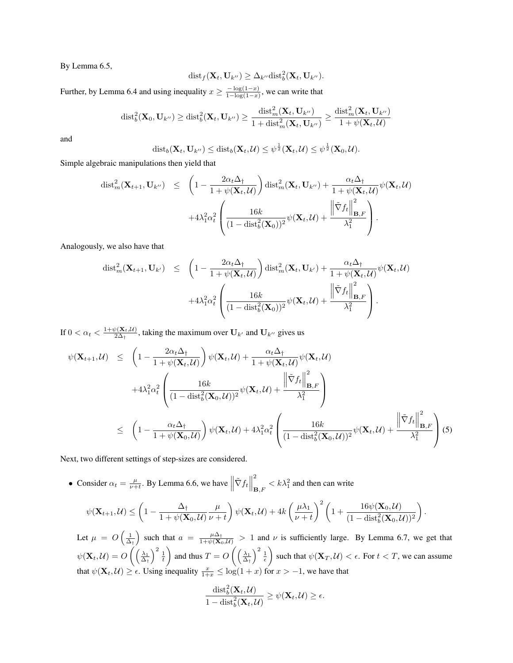By Lemma 6.5,

$$
\mathrm{dist}_f(\mathbf{X}_t, \mathbf{U}_{k''}) \geq \Delta_{k''} \mathrm{dist}_b^2(\mathbf{X}_t, \mathbf{U}_{k''}).
$$

Further, by Lemma 6.4 and using inequality  $x \ge \frac{-\log(1-x)}{1-\log(1-x)}$  $\frac{-\log(1-x)}{1-\log(1-x)}$ , we can write that

$$
\text{dist}_b^2(\mathbf{X}_0, \mathbf{U}_{k''}) \geq \text{dist}_b^2(\mathbf{X}_t, \mathbf{U}_{k''}) \geq \frac{\text{dist}_m^2(\mathbf{X}_t, \mathbf{U}_{k''})}{1 + \text{dist}_m^2(\mathbf{X}_t, \mathbf{U}_{k''})} \geq \frac{\text{dist}_m^2(\mathbf{X}_t, \mathbf{U}_{k''})}{1 + \psi(\mathbf{X}_t, \mathcal{U})}
$$

and

$$
\mathrm{dist}_b(\mathbf{X}_t, \mathbf{U}_{k''}) \leq \mathrm{dist}_b(\mathbf{X}_t, \mathcal{U}) \leq \psi^{\frac{1}{2}}(\mathbf{X}_t, \mathcal{U}) \leq \psi^{\frac{1}{2}}(\mathbf{X}_0, \mathcal{U}).
$$

Simple algebraic manipulations then yield that

$$
\operatorname{dist}_{m}^{2}(\mathbf{X}_{t+1}, \mathbf{U}_{k'}) \leq \left(1 - \frac{2\alpha_{t}\Delta_{\dagger}}{1 + \psi(\mathbf{X}_{t}, \mathcal{U})}\right) \operatorname{dist}_{m}^{2}(\mathbf{X}_{t}, \mathbf{U}_{k''}) + \frac{\alpha_{t}\Delta_{\dagger}}{1 + \psi(\mathbf{X}_{t}, \mathcal{U})}\psi(\mathbf{X}_{t}, \mathcal{U}) + 4\lambda_{1}^{2}\alpha_{t}^{2} \left(\frac{16k}{(1 - \operatorname{dist}_{b}^{2}(\mathbf{X}_{0}))^{2}}\psi(\mathbf{X}_{t}, \mathcal{U}) + \frac{\left\|\tilde{\nabla}f_{t}\right\|_{\mathbf{B}, F}^{2}}{\lambda_{1}^{2}}\right).
$$

Analogously, we also have that

$$
\operatorname{dist}_{m}^{2}(\mathbf{X}_{t+1}, \mathbf{U}_{k'}) \leq \left(1 - \frac{2\alpha_{t}\Delta_{\dagger}}{1 + \psi(\mathbf{X}_{t}, \mathcal{U})}\right) \operatorname{dist}_{m}^{2}(\mathbf{X}_{t}, \mathbf{U}_{k'}) + \frac{\alpha_{t}\Delta_{\dagger}}{1 + \psi(\mathbf{X}_{t}, \mathcal{U})}\psi(\mathbf{X}_{t}, \mathcal{U}) + 4\lambda_{1}^{2}\alpha_{t}^{2} \left(\frac{16k}{(1 - \operatorname{dist}_{b}^{2}(\mathbf{X}_{0}))^{2}}\psi(\mathbf{X}_{t}, \mathcal{U}) + \frac{\left\|\tilde{\nabla}f_{t}\right\|_{\mathbf{B}, F}^{2}}{\lambda_{1}^{2}}\right).
$$

If  $0 < \alpha_t < \frac{1 + \psi(\mathbf{X}_t, \mathcal{U})}{2\Delta_t}$  $\frac{\partial (X_t, u)}{\partial \Delta_t}$ , taking the maximum over  $U_{k'}$  and  $U_{k''}$  gives us

<span id="page-2-0"></span>
$$
\psi(\mathbf{X}_{t+1}, \mathcal{U}) \leq \left(1 - \frac{2\alpha_t \Delta_{\dagger}}{1 + \psi(\mathbf{X}_t, \mathcal{U})}\right) \psi(\mathbf{X}_t, \mathcal{U}) + \frac{\alpha_t \Delta_{\dagger}}{1 + \psi(\mathbf{X}_t, \mathcal{U})} \psi(\mathbf{X}_t, \mathcal{U})
$$
\n
$$
+ 4\lambda_1^2 \alpha_t^2 \left(\frac{16k}{(1 - \text{dist}_b^2(\mathbf{X}_0, \mathcal{U}))^2} \psi(\mathbf{X}_t, \mathcal{U}) + \frac{\left\|\tilde{\nabla}f_t\right\|_{\mathbf{B}, F}^2}{\lambda_1^2}\right)
$$
\n
$$
\leq \left(1 - \frac{\alpha_t \Delta_{\dagger}}{1 + \psi(\mathbf{X}_0, \mathcal{U})}\right) \psi(\mathbf{X}_t, \mathcal{U}) + 4\lambda_1^2 \alpha_t^2 \left(\frac{16k}{(1 - \text{dist}_b^2(\mathbf{X}_0, \mathcal{U}))^2} \psi(\mathbf{X}_t, \mathcal{U}) + \frac{\left\|\tilde{\nabla}f_t\right\|_{\mathbf{B}, F}^2}{\lambda_1^2}\right) (5)
$$

Next, two different settings of step-sizes are considered.

• Consider  $\alpha_t = \frac{\mu}{\nu+t}$ . By Lemma 6.6, we have  $\left\| \tilde{\nabla} f_t \right\|$ 2  $\mathbf{B}_{\text{B},F} < k\lambda_1^2$  and then can write

$$
\psi(\mathbf{X}_{t+1},\mathcal{U}) \leq \left(1 - \frac{\Delta_{\dagger}}{1 + \psi(\mathbf{X}_0,\mathcal{U})}\frac{\mu}{\nu + t}\right)\psi(\mathbf{X}_t,\mathcal{U}) + 4k\left(\frac{\mu\lambda_1}{\nu + t}\right)^2 \left(1 + \frac{16\psi(\mathbf{X}_0,\mathcal{U})}{(1 - \text{dist}_b^2(\mathbf{X}_0,\mathcal{U}))^2}\right)
$$

Let  $\mu = O\left(\frac{1}{\Delta_t}\right)$  such that  $a = \frac{\mu \Delta_t}{1 + \psi(\mathbf{X}_0, \mathcal{U})} > 1$  and  $\nu$  is sufficiently large. By Lemma 6.7, we get that  $\psi(\mathbf{X}_t,\mathcal{U})=O\left(\left(\frac{\lambda_1}{\Delta_{\dagger}}\right)^2\frac{1}{t}\right)$ ) and thus  $T = O\left(\left(\frac{\lambda_1}{\Delta_{\dagger}}\right)^2 \frac{1}{\epsilon}\right)$ ) such that  $\psi(\mathbf{X}_T, \mathcal{U}) < \epsilon$ . For  $t < T$ , we can assume that  $\psi(\mathbf{X}_t, \mathcal{U}) \ge \epsilon$ . Using inequality  $\frac{x}{1+x} \le \log(1+x)$  for  $x > -1$ , we have that

.

$$
\frac{\text{dist}_b^2(\mathbf{X}_t, \mathcal{U})}{1 - \text{dist}_b^2(\mathbf{X}_t, \mathcal{U})} \ge \psi(\mathbf{X}_t, \mathcal{U}) \ge \epsilon.
$$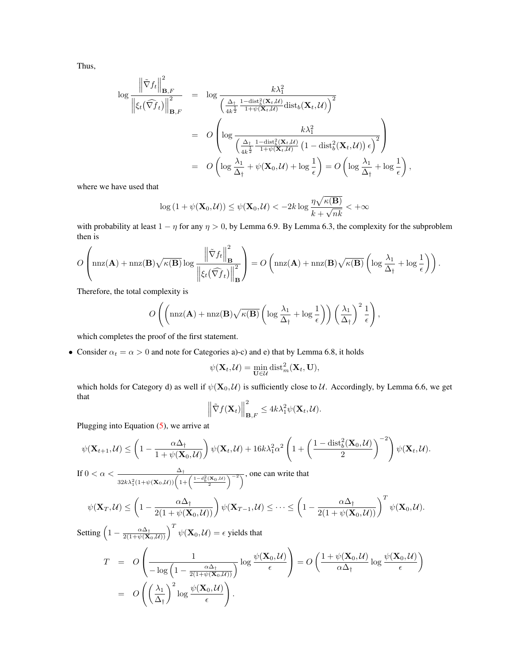Thus,

$$
\log \frac{\left\| \tilde{\nabla} f_t \right\|_{\mathbf{B},F}^2}{\left\| \xi_t(\widehat{\nabla} f_t) \right\|_{\mathbf{B},F}^2} = \log \frac{k\lambda_1^2}{\left( \frac{\Delta_{\dagger}}{4k^{\frac{1}{2}}}\frac{1-\text{dist}_b^2(\mathbf{X}_t,\mathcal{U})}{1+\psi(\mathbf{X}_t,\mathcal{U})}\text{dist}_b(\mathbf{X}_t,\mathcal{U}) \right)^2}
$$
  
\n
$$
= O\left( \log \frac{k\lambda_1^2}{\left( \frac{\Delta_{\dagger}}{4k^{\frac{1}{2}}}\frac{1-\text{dist}_b^2(\mathbf{X}_t,\mathcal{U})}{1+\psi(\mathbf{X}_t,\mathcal{U})}\left(1-\text{dist}_b^2(\mathbf{X}_t,\mathcal{U})\right) \epsilon \right)^2} \right)
$$
  
\n
$$
= O\left( \log \frac{\lambda_1}{\Delta_{\dagger}} + \psi(\mathbf{X}_0,\mathcal{U}) + \log \frac{1}{\epsilon} \right) = O\left( \log \frac{\lambda_1}{\Delta_{\dagger}} + \log \frac{1}{\epsilon} \right),
$$

where we have used that

$$
\log\left(1+\psi(\mathbf{X}_0,\mathcal{U})\right)\leq\psi(\mathbf{X}_0,\mathcal{U})<-2k\log\frac{\eta\sqrt{\kappa(\mathbf{B})}}{k+\sqrt{nk}}<+\infty
$$

with probability at least  $1 - \eta$  for any  $\eta > 0$ , by Lemma 6.9. By Lemma 6.3, the complexity for the subproblem then is

$$
O\left(\max(\mathbf{A}) + \max(\mathbf{B})\sqrt{\kappa(\mathbf{B})}\log\frac{\left\|\tilde{\nabla}f_t\right\|_{\mathbf{B}}^2}{\left\|\xi_t(\widehat{\nabla}f_t)\right\|_{\mathbf{B}}^2}\right) = O\left(\max(\mathbf{A}) + \max(\mathbf{B})\sqrt{\kappa(\mathbf{B})}\left(\log\frac{\lambda_1}{\Delta_1} + \log\frac{1}{\epsilon}\right)\right).
$$

Therefore, the total complexity is

$$
O\left(\left(\mathrm{nnz}(\mathbf{A}) + \mathrm{nnz}(\mathbf{B})\sqrt{\kappa(\mathbf{B})}\left(\log \frac{\lambda_1}{\Delta_{\dagger}} + \log \frac{1}{\epsilon}\right)\right)\left(\frac{\lambda_1}{\Delta_{\dagger}}\right)^2 \frac{1}{\epsilon}\right),\right)
$$

which completes the proof of the first statement.

• Consider  $\alpha_t = \alpha > 0$  and note for Categories a)-c) and e) that by Lemma 6.8, it holds

$$
\psi(\mathbf{X}_t, \mathcal{U}) = \min_{\mathbf{U} \in \mathcal{U}} \text{dist}_m^2(\mathbf{X}_t, \mathbf{U}),
$$

which holds for Category d) as well if  $\psi(\mathbf{X}_0, \mathcal{U})$  is sufficiently close to  $\mathcal{U}$ . Accordingly, by Lemma 6.6, we get that

$$
\left\|\tilde{\nabla}f(\mathbf{X}_t)\right\|_{\mathbf{B},F}^2 \leq 4k\lambda_1^2\psi(\mathbf{X}_t,\mathcal{U}).
$$

Plugging into Equation [\(5\)](#page-2-0), we arrive at

$$
\psi(\mathbf{X}_{t+1},\mathcal{U}) \leq \left(1 - \frac{\alpha \Delta_{\dagger}}{1 + \psi(\mathbf{X}_0,\mathcal{U})}\right) \psi(\mathbf{X}_t,\mathcal{U}) + 16k\lambda_1^2 \alpha^2 \left(1 + \left(\frac{1 - \text{dist}_b^2(\mathbf{X}_0,\mathcal{U})}{2}\right)^{-2}\right) \psi(\mathbf{X}_t,\mathcal{U}).
$$

If  $0 < \alpha < \frac{\Delta_{\dagger}}{4}$  $\frac{\Delta_{\dagger}}{32k\lambda_1^2(1+\psi(\mathbf{X}_0,\mathcal{U}))\left(1+\left(\frac{1-d_b^2(\mathbf{X}_0,\mathcal{U})}{2}\right)^{-2}\right)}$ , one can write that

$$
\psi(\mathbf{X}_T,\mathcal{U}) \leq \left(1 - \frac{\alpha \Delta_{\dagger}}{2(1 + \psi(\mathbf{X}_0,\mathcal{U}))}\right) \psi(\mathbf{X}_{T-1},\mathcal{U}) \leq \cdots \leq \left(1 - \frac{\alpha \Delta_{\dagger}}{2(1 + \psi(\mathbf{X}_0,\mathcal{U}))}\right)^T \psi(\mathbf{X}_0,\mathcal{U}).
$$

Setting 
$$
\left(1 - \frac{\alpha \Delta_{\uparrow}}{2(1 + \psi(\mathbf{X}_0, \mathcal{U}))}\right)^T \psi(\mathbf{X}_0, \mathcal{U}) = \epsilon
$$
 yields that  
\n
$$
T = O\left(\frac{1}{-\log\left(1 - \frac{\alpha \Delta_{\uparrow}}{2(1 + \psi(\mathbf{X}_0, \mathcal{U}))}\right)} \log \frac{\psi(\mathbf{X}_0, \mathcal{U})}{\epsilon}\right) = O\left(\frac{1 + \psi(\mathbf{X}_0, \mathcal{U})}{\alpha \Delta_{\uparrow}} \log \frac{\psi(\mathbf{X}_0, \mathcal{U})}{\epsilon}\right)
$$
\n
$$
= O\left(\left(\frac{\lambda_1}{\Delta_{\uparrow}}\right)^2 \log \frac{\psi(\mathbf{X}_0, \mathcal{U})}{\epsilon}\right).
$$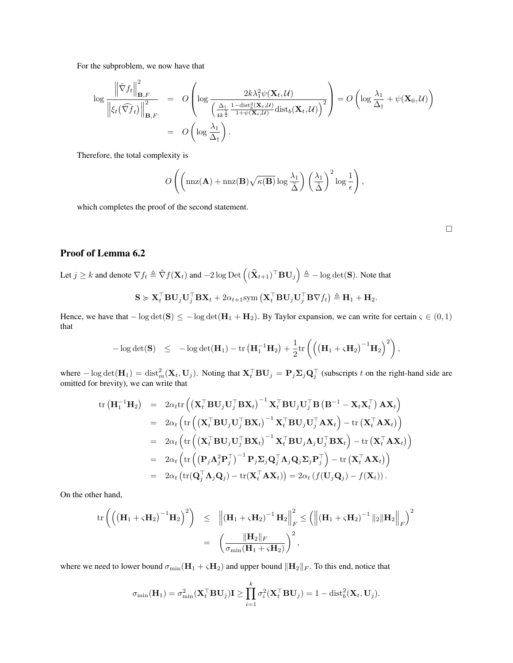For the subproblem, we now have that

$$
\log \frac{\left\| \tilde{\nabla} f_t \right\|_{\mathbf{B},F}^2}{\left\| \xi_t(\widehat{\nabla} f_t) \right\|_{\mathbf{B},F}^2} = O\left( \log \frac{2k\lambda_1^2 \psi(\mathbf{X}_t, \mathcal{U})}{\left( \frac{\Delta_t}{4k^{\frac{1}{2}}} \frac{1-\text{dist}_b^2(\mathbf{X}_t, \mathcal{U})}{1+\psi(\mathbf{X}_t, \mathcal{U})} \text{dist}_b(\mathbf{X}_t, \mathcal{U}) \right)^2} \right) = O\left( \log \frac{\lambda_1}{\Delta_{\dagger}} + \psi(\mathbf{X}_0, \mathcal{U}) \right)
$$
  
= 
$$
O\left( \log \frac{\lambda_1}{\Delta_{\dagger}} \right).
$$

Therefore, the total complexity is

$$
O\left(\left(\mathrm{nnz}(\mathbf{A}) + \mathrm{nnz}(\mathbf{B})\sqrt{\kappa(\mathbf{B})}\log\frac{\lambda_1}{\tilde{\Delta}}\right)\left(\frac{\lambda_1}{\tilde{\Delta}}\right)^2\log\frac{1}{\epsilon}\right),\,
$$

which completes the proof of the second statement.

# Proof of Lemma 6.2

Let  $j \ge k$  and denote  $\nabla f_t \triangleq \tilde{\nabla} f(\mathbf{X}_t)$  and  $-2 \log \mathrm{Det} \left( (\widehat{\mathbf{X}}_{t+1})^\top \mathbf{B} \mathbf{U}_j \right) \triangleq - \log \det(\mathbf{S})$ . Note that

$$
\mathbf{S} \succcurlyeq \mathbf{X}_t^\top \mathbf{B} \mathbf{U}_j \mathbf{U}_j^\top \mathbf{B} \mathbf{X}_t + 2\alpha_{t+1} \text{sym}\left(\mathbf{X}_t^\top \mathbf{B} \mathbf{U}_j \mathbf{U}_j^\top \mathbf{B} \nabla f_t\right) \triangleq \mathbf{H}_1 + \mathbf{H}_2.
$$

Hence, we have that  $-\log \det(S) \le -\log \det(H_1 + H_2)$ . By Taylor expansion, we can write for certain  $\varsigma \in (0,1)$ that

$$
-\log\det(\mathbf{S}) \quad \leq \quad -\log\det(\mathbf{H}_1) - \mathrm{tr}\left(\mathbf{H}_1^{-1}\mathbf{H}_2\right) + \frac{1}{2}\mathrm{tr}\left(\left(\left(\mathbf{H}_1 + \varsigma \mathbf{H}_2\right)^{-1}\mathbf{H}_2\right)^2\right),
$$

where  $-\log \det(\mathbf{H}_1) = \text{dist}_m^2(\mathbf{X}_t, \mathbf{U}_j)$ . Noting that  $\mathbf{X}_t^{\top} \mathbf{B} \mathbf{U}_j = \mathbf{P}_j \mathbf{\Sigma}_j \mathbf{Q}_j^{\top}$  (subscripts t on the right-hand side are omitted for brevity), we can write that

$$
\operatorname{tr} (\mathbf{H}_{1}^{-1} \mathbf{H}_{2}) = 2\alpha_{t} \operatorname{tr} ((\mathbf{X}_{t}^{\top} \mathbf{B} \mathbf{U}_{j} \mathbf{U}_{j}^{\top} \mathbf{B} \mathbf{X}_{t})^{-1} \mathbf{X}_{t}^{\top} \mathbf{B} \mathbf{U}_{j} \mathbf{U}_{j}^{\top} \mathbf{B} (\mathbf{B}^{-1} - \mathbf{X}_{t} \mathbf{X}_{t}^{\top}) \mathbf{A} \mathbf{X}_{t})
$$
\n
$$
= 2\alpha_{t} \left( \operatorname{tr} ((\mathbf{X}_{t}^{\top} \mathbf{B} \mathbf{U}_{j} \mathbf{U}_{j}^{\top} \mathbf{B} \mathbf{X}_{t})^{-1} \mathbf{X}_{t}^{\top} \mathbf{B} \mathbf{U}_{j} \mathbf{U}_{j}^{\top} \mathbf{A} \mathbf{X}_{t}) - \operatorname{tr} (\mathbf{X}_{t}^{\top} \mathbf{A} \mathbf{X}_{t}) \right)
$$
\n
$$
= 2\alpha_{t} \left( \operatorname{tr} ((\mathbf{X}_{t}^{\top} \mathbf{B} \mathbf{U}_{j} \mathbf{U}_{j}^{\top} \mathbf{B} \mathbf{X}_{t})^{-1} \mathbf{X}_{t}^{\top} \mathbf{B} \mathbf{U}_{j} \mathbf{A}_{j} \mathbf{U}_{j}^{\top} \mathbf{B} \mathbf{X}_{t}) - \operatorname{tr} (\mathbf{X}_{t}^{\top} \mathbf{A} \mathbf{X}_{t}) \right)
$$
\n
$$
= 2\alpha_{t} \left( \operatorname{tr} ((\mathbf{P}_{j} \mathbf{A}_{j}^{2} \mathbf{P}_{j}^{\top})^{-1} \mathbf{P}_{j} \mathbf{\Sigma}_{j} \mathbf{Q}_{j}^{\top} \mathbf{A}_{j} \mathbf{Q}_{j} \mathbf{\Sigma}_{j} \mathbf{P}_{j}^{\top} \right) - \operatorname{tr} (\mathbf{X}_{t}^{\top} \mathbf{A} \mathbf{X}_{t}) \right)
$$
\n
$$
= 2\alpha_{t} \left( \operatorname{tr} (\mathbf{Q}_{j}^{\top} \mathbf{A}_{j} \mathbf{Q}_{j}) - \operatorname{tr} (\mathbf
$$

On the other hand,

$$
\begin{array}{rcl} \displaystyle \operatorname{tr}\left(\left(\left(\mathbf{H}_1+\varsigma \mathbf{H}_2\right)^{-1} \mathbf{H}_2\right)^2\right) & \leq & \displaystyle \left\| \left(\mathbf{H}_1+\varsigma \mathbf{H}_2\right)^{-1} \mathbf{H}_2\right\|_F^2 \leq \left(\left\| \left(\mathbf{H}_1+\varsigma \mathbf{H}_2\right)^{-1} \|_2 \|\mathbf{H}_2\right\|_F\right)^2 \\ \\ & = & \displaystyle \left(\frac{\|\mathbf{H}_2\|_F}{\sigma_{\min}(\mathbf{H}_1+\varsigma \mathbf{H}_2)}\right)^2, \end{array}
$$

where we need to lower bound  $\sigma_{\min}(\mathbf{H}_1 + \varsigma \mathbf{H}_2)$  and upper bound  $\|\mathbf{H}_2\|_F$ . To this end, notice that

$$
\sigma_{\min}(\mathbf{H}_1) = \sigma_{\min}^2(\mathbf{X}_t^\top \mathbf{B} \mathbf{U}_j) \mathbf{I} \ge \prod_{i=1}^k \sigma_i^2(\mathbf{X}_t^\top \mathbf{B} \mathbf{U}_j) = 1 - \text{dist}_b^2(\mathbf{X}_t, \mathbf{U}_j).
$$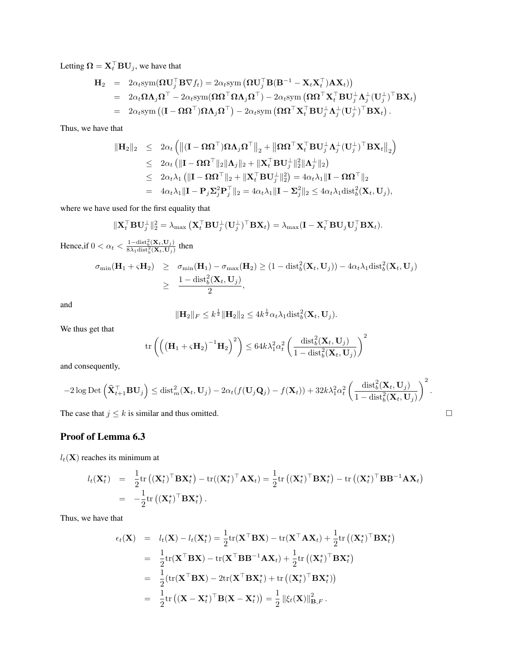Letting  $\mathbf{\Omega} = \mathbf{X}_t^\top \mathbf{B} \mathbf{U}_j$ , we have that

$$
\mathbf{H}_2 = 2\alpha_t \text{sym}(\mathbf{\Omega}\mathbf{U}_j^{\top}\mathbf{B}\nabla f_t) = 2\alpha_t \text{sym}(\mathbf{\Omega}\mathbf{U}_j^{\top}\mathbf{B}(\mathbf{B}^{-1} - \mathbf{X}_t\mathbf{X}_t^{\top})\mathbf{A}\mathbf{X}_t))
$$
  
\n
$$
= 2\alpha_t \mathbf{\Omega}\mathbf{\Lambda}_j\mathbf{\Omega}^{\top} - 2\alpha_t \text{sym}(\mathbf{\Omega}\mathbf{\Omega}^{\top}\mathbf{\Omega}\mathbf{\Lambda}_j\mathbf{\Omega}^{\top}) - 2\alpha_t \text{sym}(\mathbf{\Omega}\mathbf{\Omega}^{\top}\mathbf{X}_t^{\top}\mathbf{B}\mathbf{U}_j^{\perp}\mathbf{\Lambda}_j^{\perp}(\mathbf{U}_j^{\perp})^{\top}\mathbf{B}\mathbf{X}_t)
$$
  
\n
$$
= 2\alpha_t \text{sym}((\mathbf{I} - \mathbf{\Omega}\mathbf{\Omega}^{\top})\mathbf{\Omega}\mathbf{\Lambda}_j\mathbf{\Omega}^{\top}) - 2\alpha_t \text{sym}(\mathbf{\Omega}\mathbf{\Omega}^{\top}\mathbf{X}_t^{\top}\mathbf{B}\mathbf{U}_j^{\perp}\mathbf{\Lambda}_j^{\perp}(\mathbf{U}_j^{\perp})^{\top}\mathbf{B}\mathbf{X}_t).
$$

Thus, we have that

$$
\begin{array}{rcl}\n\|\mathbf{H}_2\|_2 & \leq & 2\alpha_t \left( \left\| (\mathbf{I} - \mathbf{\Omega} \mathbf{\Omega}^\top) \mathbf{\Omega} \mathbf{\Lambda}_j \mathbf{\Omega}^\top \right\|_2 + \left\| \mathbf{\Omega} \mathbf{\Omega}^\top \mathbf{X}_t^\top \mathbf{B} \mathbf{U}_j^\perp \mathbf{\Lambda}_j^\perp (\mathbf{U}_j^\perp)^\top \mathbf{B} \mathbf{X}_t \right\|_2 \right) \\
& \leq & 2\alpha_t \left( \|\mathbf{I} - \mathbf{\Omega} \mathbf{\Omega}^\top\|_2 \|\mathbf{\Lambda}_j\|_2 + \|\mathbf{X}_t^\top \mathbf{B} \mathbf{U}_j^\perp\|_2^2 \|\mathbf{\Lambda}_j^\perp\|_2 \right) \\
& \leq & 2\alpha_t \lambda_1 \left( \|\mathbf{I} - \mathbf{\Omega} \mathbf{\Omega}^\top\|_2 + \|\mathbf{X}_t^\top \mathbf{B} \mathbf{U}_j^\perp\|_2^2 \right) = 4\alpha_t \lambda_1 \|\mathbf{I} - \mathbf{\Omega} \mathbf{\Omega}^\top\|_2 \\
& = & 4\alpha_t \lambda_1 \|\mathbf{I} - \mathbf{P}_j \mathbf{\Sigma}_j^2 \mathbf{P}_j^\top\|_2 = 4\alpha_t \lambda_1 \|\mathbf{I} - \mathbf{\Sigma}_j^2\|_2 \leq 4\alpha_t \lambda_1 \text{dist}_b^2(\mathbf{X}_t, \mathbf{U}_j),\n\end{array}
$$

where we have used for the first equality that

$$
\|\mathbf{X}_t^\top \mathbf{B} \mathbf{U}_j^\perp\|_2^2 = \lambda_{\max} \left( \mathbf{X}_t^\top \mathbf{B} \mathbf{U}_j^\perp (\mathbf{U}_j^\perp)^\top \mathbf{B} \mathbf{X}_t \right) = \lambda_{\max} (\mathbf{I} - \mathbf{X}_t^\top \mathbf{B} \mathbf{U}_j \mathbf{U}_j^\top \mathbf{B} \mathbf{X}_t).
$$

Hence, if  $0 < \alpha_t < \frac{1-\text{dist}_b^2(\mathbf{X}_t, \mathbf{U}_j)}{8\lambda_1\text{dist}_b^2(\mathbf{X}_t, \mathbf{U}_j)}$  then

$$
\sigma_{\min}(\mathbf{H}_1 + \varsigma \mathbf{H}_2) \geq \sigma_{\min}(\mathbf{H}_1) - \sigma_{\max}(\mathbf{H}_2) \geq (1 - \text{dist}_b^2(\mathbf{X}_t, \mathbf{U}_j)) - 4\alpha_t \lambda_1 \text{dist}_b^2(\mathbf{X}_t, \mathbf{U}_j)
$$
  
 
$$
\geq \frac{1 - \text{dist}_b^2(\mathbf{X}_t, \mathbf{U}_j)}{2},
$$

and

$$
\|\mathbf{H}_2\|_F \leq k^{\frac{1}{2}} \|\mathbf{H}_2\|_2 \leq 4k^{\frac{1}{2}} \alpha_t \lambda_1 \text{dist}_b^2(\mathbf{X}_t, \mathbf{U}_j).
$$

We thus get that

$$
\operatorname{tr}\left(\left(\left(\mathbf{H}_1 + \varsigma \mathbf{H}_2\right)^{-1} \mathbf{H}_2\right)^2\right) \leq 64k\lambda_1^2\alpha_t^2 \left(\frac{\operatorname{dist}_b^2(\mathbf{X}_t, \mathbf{U}_j)}{1 - \operatorname{dist}_b^2(\mathbf{X}_t, \mathbf{U}_j)}\right)^2
$$

and consequently,

$$
-2\log \mathrm{Det}\left(\widehat{\mathbf{X}}_{t+1}^{\top} \mathbf{B} \mathbf{U}_{j}\right) \leq \mathrm{dist}_{m}^{2}(\mathbf{X}_{t}, \mathbf{U}_{j}) - 2\alpha_{t}(f(\mathbf{U}_{j}\mathbf{Q}_{j}) - f(\mathbf{X}_{t}))+ 32k\lambda_{1}^{2}\alpha_{t}^{2}\left(\frac{\mathrm{dist}_{b}^{2}(\mathbf{X}_{t}, \mathbf{U}_{j})}{1-\mathrm{dist}_{b}^{2}(\mathbf{X}_{t}, \mathbf{U}_{j})}\right)^{2}.
$$

The case that  $j \leq k$  is similar and thus omitted.

# Proof of Lemma 6.3

 $l_t(\mathbf{X})$  reaches its minimum at

$$
l_t(\mathbf{X}_t^*) = \frac{1}{2} \text{tr} \left( (\mathbf{X}_t^*)^{\top} \mathbf{B} \mathbf{X}_t^* \right) - \text{tr}((\mathbf{X}_t^*)^{\top} \mathbf{A} \mathbf{X}_t) = \frac{1}{2} \text{tr} \left( (\mathbf{X}_t^*)^{\top} \mathbf{B} \mathbf{X}_t^* \right) - \text{tr} \left( (\mathbf{X}_t^*)^{\top} \mathbf{B} \mathbf{B}^{-1} \mathbf{A} \mathbf{X}_t \right)
$$
  
= 
$$
-\frac{1}{2} \text{tr} \left( (\mathbf{X}_t^*)^{\top} \mathbf{B} \mathbf{X}_t^* \right).
$$

Thus, we have that

$$
\epsilon_t(\mathbf{X}) = l_t(\mathbf{X}) - l_t(\mathbf{X}_t^*) = \frac{1}{2} \text{tr}(\mathbf{X}^\top \mathbf{B} \mathbf{X}) - \text{tr}(\mathbf{X}^\top \mathbf{A} \mathbf{X}_t) + \frac{1}{2} \text{tr}((\mathbf{X}_t^*)^\top \mathbf{B} \mathbf{X}_t^*)
$$
  
\n
$$
= \frac{1}{2} \text{tr}(\mathbf{X}^\top \mathbf{B} \mathbf{X}) - \text{tr}(\mathbf{X}^\top \mathbf{B} \mathbf{B}^{-1} \mathbf{A} \mathbf{X}_t) + \frac{1}{2} \text{tr}((\mathbf{X}_t^*)^\top \mathbf{B} \mathbf{X}_t^*)
$$
  
\n
$$
= \frac{1}{2} (\text{tr}(\mathbf{X}^\top \mathbf{B} \mathbf{X}) - 2 \text{tr}(\mathbf{X}^\top \mathbf{B} \mathbf{X}_t^*) + \text{tr}((\mathbf{X}_t^*)^\top \mathbf{B} \mathbf{X}_t^*) )
$$
  
\n
$$
= \frac{1}{2} \text{tr}((\mathbf{X} - \mathbf{X}_t^*)^\top \mathbf{B} (\mathbf{X} - \mathbf{X}_t^*) ) = \frac{1}{2} ||\xi_t(\mathbf{X})||^2_{\mathbf{B},F}.
$$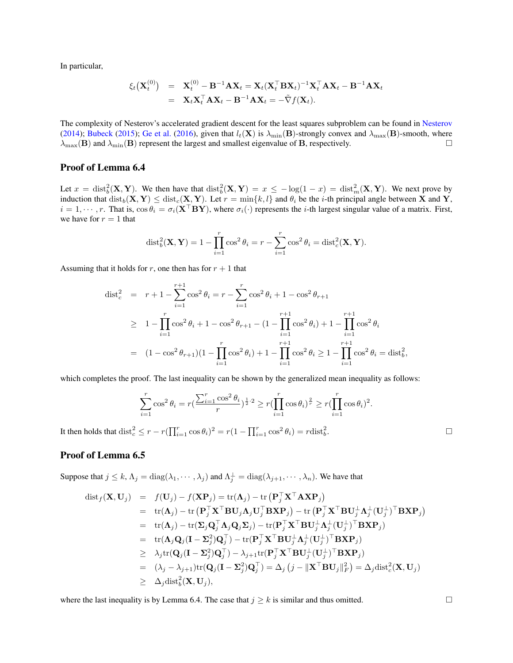In particular,

$$
\xi_t(\mathbf{X}_t^{(0)}) = \mathbf{X}_t^{(0)} - \mathbf{B}^{-1}\mathbf{A}\mathbf{X}_t = \mathbf{X}_t(\mathbf{X}_t^{\top}\mathbf{B}\mathbf{X}_t)^{-1}\mathbf{X}_t^{\top}\mathbf{A}\mathbf{X}_t - \mathbf{B}^{-1}\mathbf{A}\mathbf{X}_t
$$
  
=  $\mathbf{X}_t\mathbf{X}_t^{\top}\mathbf{A}\mathbf{X}_t - \mathbf{B}^{-1}\mathbf{A}\mathbf{X}_t = -\tilde{\nabla}f(\mathbf{X}_t).$ 

The complexity of Nesterov's accelerated gradient descent for the least squares subproblem can be found in [Nesterov](#page-8-0) [\(2014\)](#page-8-0); [Bubeck](#page-8-1) [\(2015\)](#page-8-1); [Ge et al.](#page-8-2) [\(2016\)](#page-8-2), given that  $l_t(\mathbf{X})$  is  $\lambda_{\min}(\mathbf{B})$ -strongly convex and  $\lambda_{\max}(\mathbf{B})$ -smooth, where  $\lambda_{\text{max}}(\mathbf{B})$  and  $\lambda_{\text{min}}(\mathbf{B})$  represent the largest and smallest eigenvalue of **B**, respectively.

## Proof of Lemma 6.4

Let  $x = \text{dist}_b^2(\mathbf{X}, \mathbf{Y})$ . We then have that  $\text{dist}_b^2(\mathbf{X}, \mathbf{Y}) = x \le -\log(1-x) = \text{dist}_m^2(\mathbf{X}, \mathbf{Y})$ . We next prove by induction that  $dist_b(X, Y) \leq dist_c(X, Y)$ . Let  $r = min\{k, l\}$  and  $\theta_i$  be the *i*-th principal angle between X and Y,  $i = 1, \dots, r$ . That is,  $\cos \theta_i = \sigma_i(\mathbf{X}^\top \mathbf{B} \mathbf{Y})$ , where  $\sigma_i(\cdot)$  represents the *i*-th largest singular value of a matrix. First, we have for  $r = 1$  that

$$
\text{dist}_b^2(\mathbf{X}, \mathbf{Y}) = 1 - \prod_{i=1}^r \cos^2 \theta_i = r - \sum_{i=1}^r \cos^2 \theta_i = \text{dist}_c^2(\mathbf{X}, \mathbf{Y}).
$$

Assuming that it holds for r, one then has for  $r + 1$  that

$$
\begin{aligned}\n\text{dist}_c^2 &= r + 1 - \sum_{i=1}^{r+1} \cos^2 \theta_i = r - \sum_{i=1}^r \cos^2 \theta_i + 1 - \cos^2 \theta_{r+1} \\
&\geq 1 - \prod_{i=1}^r \cos^2 \theta_i + 1 - \cos^2 \theta_{r+1} - (1 - \prod_{i=1}^{r+1} \cos^2 \theta_i) + 1 - \prod_{i=1}^{r+1} \cos^2 \theta_i \\
&= (1 - \cos^2 \theta_{r+1})(1 - \prod_{i=1}^r \cos^2 \theta_i) + 1 - \prod_{i=1}^{r+1} \cos^2 \theta_i \geq 1 - \prod_{i=1}^{r+1} \cos^2 \theta_i = \text{dist}_b^2,\n\end{aligned}
$$

which completes the proof. The last inequality can be shown by the generalized mean inequality as follows:

$$
\sum_{i=1}^r \cos^2 \theta_i = r \left( \frac{\sum_{i=1}^r \cos^2 \theta_i}{r} \right)^{\frac{1}{2} \cdot 2} \ge r \left( \prod_{i=1}^r \cos \theta_i \right)^{\frac{2}{r}} \ge r \left( \prod_{i=1}^r \cos \theta_i \right)^2.
$$

It then holds that  $dist_c^2 \le r - r(\prod_{i=1}^r \cos \theta_i)^2 = r(1 - \prod_{i=1}^r \cos^2 \theta_i) = r \text{dist}_b^2$ . В последните последните под на селото на селото на селото на селото на селото на селото на селото на селото<br>В селото на селото на селото на селото на селото на селото на селото на селото на селото на селото на селото н

## Proof of Lemma 6.5

Suppose that  $j \leq k$ ,  $\Lambda_j = \text{diag}(\lambda_1, \dots, \lambda_j)$  and  $\Lambda_j^{\perp} = \text{diag}(\lambda_{j+1}, \dots, \lambda_n)$ . We have that

$$
\begin{array}{rcl}\text{dist}_{f}(\mathbf{X},\mathbf{U}_{j}) & = & f(\mathbf{U}_{j}) - f(\mathbf{X}\mathbf{P}_{j}) = \text{tr}(\mathbf{\Lambda}_{j}) - \text{tr}(\mathbf{P}_{j}^{\top}\mathbf{X}^{\top}\mathbf{A}\mathbf{X}\mathbf{P}_{j}) \\
 & = & \text{tr}(\mathbf{\Lambda}_{j}) - \text{tr}(\mathbf{P}_{j}^{\top}\mathbf{X}^{\top}\mathbf{B}\mathbf{U}_{j}\mathbf{\Lambda}_{j}\mathbf{U}_{j}^{\top}\mathbf{B}\mathbf{X}\mathbf{P}_{j}) - \text{tr}(\mathbf{P}_{j}^{\top}\mathbf{X}^{\top}\mathbf{B}\mathbf{U}_{j}^{\perp}\mathbf{\Lambda}_{j}^{\perp}(\mathbf{U}_{j}^{\perp})^{\top}\mathbf{B}\mathbf{X}\mathbf{P}_{j}) \\
 & = & \text{tr}(\mathbf{\Lambda}_{j}) - \text{tr}(\mathbf{\Sigma}_{j}\mathbf{Q}_{j}^{\top}\mathbf{\Lambda}_{j}\mathbf{Q}_{j}\mathbf{\Sigma}_{j}) - \text{tr}(\mathbf{P}_{j}^{\top}\mathbf{X}^{\top}\mathbf{B}\mathbf{U}_{j}^{\perp}\mathbf{\Lambda}_{j}^{\perp}(\mathbf{U}_{j}^{\perp})^{\top}\mathbf{B}\mathbf{X}\mathbf{P}_{j}) \\
 & = & \text{tr}(\mathbf{\Lambda}_{j}\mathbf{Q}_{j}(\mathbf{I}-\mathbf{\Sigma}_{j}^{2})\mathbf{Q}_{j}^{\top}) - \text{tr}(\mathbf{P}_{j}^{\top}\mathbf{X}^{\top}\mathbf{B}\mathbf{U}_{j}^{\perp}\mathbf{\Lambda}_{j}^{\perp}(\mathbf{U}_{j}^{\perp})^{\top}\mathbf{B}\mathbf{X}\mathbf{P}_{j}) \\
 & \geq & \lambda_{j}\text{tr}(\mathbf{Q}_{j}(\mathbf{I}-\mathbf{\Sigma}_{j}^{2})\mathbf{Q}_{j}^{\top}) - \lambda_{j+1}\text{tr}(\mathbf{P}_{j}^{\top}\mathbf{X}^{\top}\mathbf{B}\mathbf{U}_{j}^{\perp}(\mathbf{U}_{j}^{\perp})^{\top}\mathbf{B}\mathbf{X}\mathbf{P}_{j}) \\
 & = & (\lambda_{j} - \lambda_{j+1})\text{tr}(\mathbf{Q}_{j}(\mathbf{
$$

where the last inequality is by Lemma 6.4. The case that  $j \ge k$  is similar and thus omitted.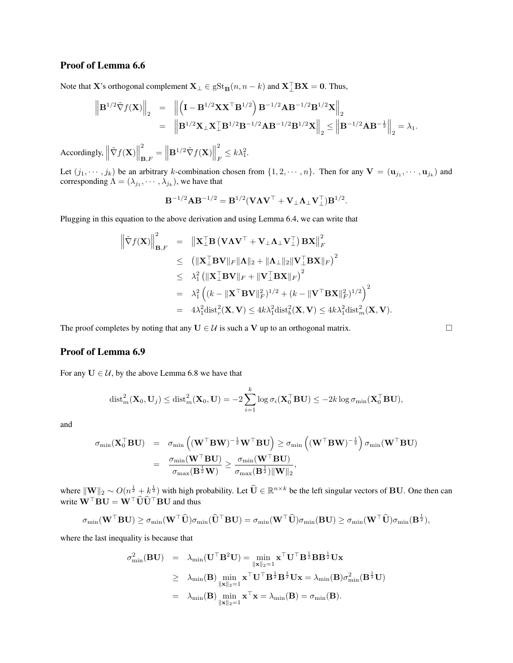# Proof of Lemma 6.6

Note that X's orthogonal complement  $\mathbf{X}_{\perp} \in \text{gSt}_{\mathbf{B}}(n, n - k)$  and  $\mathbf{X}_{\perp}^{\top} \mathbf{B} \mathbf{X} = \mathbf{0}$ . Thus,

$$
\left\| \mathbf{B}^{1/2} \tilde{\nabla} f(\mathbf{X}) \right\|_2 = \left\| \left( \mathbf{I} - \mathbf{B}^{1/2} \mathbf{X} \mathbf{X}^\top \mathbf{B}^{1/2} \right) \mathbf{B}^{-1/2} \mathbf{A} \mathbf{B}^{-1/2} \mathbf{B}^{1/2} \mathbf{X} \right\|_2
$$
  
=  $\left\| \mathbf{B}^{1/2} \mathbf{X}_{\perp} \mathbf{X}_{\perp}^\top \mathbf{B}^{1/2} \mathbf{B}^{-1/2} \mathbf{A} \mathbf{B}^{-1/2} \mathbf{B}^{1/2} \mathbf{X} \right\|_2 \le \left\| \mathbf{B}^{-1/2} \mathbf{A} \mathbf{B}^{-\frac{1}{2}} \right\|_2 = \lambda_1.$ 

Accordingly,  $\left\|\tilde{\nabla}f(\mathbf{X})\right\|$ 2  $\mathbf{B}_{\mathbf{B},F}^2 = \left\| \mathbf{B}^{1/2} \tilde{\nabla} f(\mathbf{X}) \right\|$ 2  $E \leq k \lambda_1^2$ .

Let  $(j_1, \dots, j_k)$  be an arbitrary k-combination chosen from  $\{1, 2, \dots, n\}$ . Then for any  $\mathbf{V} = (\mathbf{u}_{j_1}, \dots, \mathbf{u}_{j_k})$  and corresponding  $\Lambda = (\lambda_{j_1}, \cdots, \lambda_{j_k})$ , we have that

$$
\mathbf{B}^{-1/2}\mathbf{A}\mathbf{B}^{-1/2} = \mathbf{B}^{1/2}(\mathbf{V}\mathbf{\Lambda}\mathbf{V}^{\top} + \mathbf{V}_{\perp}\mathbf{\Lambda}_{\perp}\mathbf{V}_{\perp}^{\top})\mathbf{B}^{1/2}.
$$

Plugging in this equation to the above derivation and using Lemma 6.4, we can write that

$$
\left\| \tilde{\nabla} f(\mathbf{X}) \right\|_{\mathbf{B},F}^{2} = \left\| \mathbf{X}_{\perp}^{\top} \mathbf{B} \left( \mathbf{V} \mathbf{\Lambda} \mathbf{V}^{\top} + \mathbf{V}_{\perp} \mathbf{\Lambda}_{\perp} \mathbf{V}^{\top}_{\perp} \right) \mathbf{B} \mathbf{X} \right\|_{F}^{2}
$$
  
\n
$$
\leq \left( \|\mathbf{X}_{\perp}^{\top} \mathbf{B} \mathbf{V} \|_{F} \|\mathbf{\Lambda}\|_{2} + \|\mathbf{\Lambda}_{\perp}\|_{2} \|\mathbf{V}_{\perp}^{\top} \mathbf{B} \mathbf{X} \|_{F} \right)^{2}
$$
  
\n
$$
\leq \lambda_{1}^{2} \left( \|\mathbf{X}_{\perp}^{\top} \mathbf{B} \mathbf{V} \|_{F} + \|\mathbf{V}_{\perp}^{\top} \mathbf{B} \mathbf{X} \|_{F} \right)^{2}
$$
  
\n
$$
= \lambda_{1}^{2} \left( (k - \|\mathbf{X}^{\top} \mathbf{B} \mathbf{V} \|_{F}^{2})^{1/2} + (k - \|\mathbf{V}^{\top} \mathbf{B} \mathbf{X} \|_{F}^{2})^{1/2} \right)^{2}
$$
  
\n
$$
= 4\lambda_{1}^{2} \text{dist}_{c}^{2}(\mathbf{X}, \mathbf{V}) \leq 4k \lambda_{1}^{2} \text{dist}_{b}^{2}(\mathbf{X}, \mathbf{V}) \leq 4k \lambda_{1}^{2} \text{dist}_{m}^{2}(\mathbf{X}, \mathbf{V}).
$$

The proof completes by noting that any  $U \in \mathcal{U}$  is such a V up to an orthogonal matrix.

### Proof of Lemma 6.9

For any  $U \in \mathcal{U}$ , by the above Lemma 6.8 we have that

$$
\text{dist}_m^2(\mathbf{X}_0, \mathbf{U}_j) \leq \text{dist}_m^2(\mathbf{X}_0, \mathbf{U}) = -2 \sum_{i=1}^k \log \sigma_i(\mathbf{X}_0^{\top} \mathbf{B} \mathbf{U}) \leq -2k \log \sigma_{\min}(\mathbf{X}_0^{\top} \mathbf{B} \mathbf{U}),
$$

and

$$
\begin{array}{rcl} \sigma_{\min}(\mathbf{X}_0^{\top}\mathbf{B}\mathbf{U}) & = & \sigma_{\min}\left((\mathbf{W}^{\top}\mathbf{B}\mathbf{W})^{-\frac{1}{2}}\mathbf{W}^{\top}\mathbf{B}\mathbf{U}\right) \geq \sigma_{\min}\left((\mathbf{W}^{\top}\mathbf{B}\mathbf{W})^{-\frac{1}{2}}\right)\sigma_{\min}(\mathbf{W}^{\top}\mathbf{B}\mathbf{U}) \\ \\ & = & \frac{\sigma_{\min}(\mathbf{W}^{\top}\mathbf{B}\mathbf{U})}{\sigma_{\max}(\mathbf{B}^{\frac{1}{2}}\mathbf{W})} \geq \frac{\sigma_{\min}(\mathbf{W}^{\top}\mathbf{B}\mathbf{U})}{\sigma_{\max}(\mathbf{B}^{\frac{1}{2}})\|\mathbf{W}\|_2}, \end{array}
$$

where  $\|\mathbf{W}\|_2 \sim O(n^{\frac{1}{2}} + k^{\frac{1}{2}})$  with high probability. Let  $\widehat{\mathbf{U}} \in \mathbb{R}^{n \times k}$  be the left singular vectors of BU. One then can write  $\mathbf{W}^\top \mathbf{B} \mathbf{U} = \mathbf{W}^\top \widehat{\mathbf{U}} \widehat{\mathbf{U}}^\top \mathbf{B} \mathbf{U}$  and thus

$$
\sigma_{\min}(\mathbf{W}^\top \mathbf{B} \mathbf{U}) \geq \sigma_{\min}(\mathbf{W}^\top \mathbf{\widehat{U}})\sigma_{\min}(\mathbf{\widehat{U}}^\top \mathbf{B} \mathbf{U}) = \sigma_{\min}(\mathbf{W}^\top \mathbf{\widehat{U}})\sigma_{\min}(\mathbf{B} \mathbf{U}) \geq \sigma_{\min}(\mathbf{W}^\top \mathbf{\widehat{U}})\sigma_{\min}(\mathbf{B}^{\frac{1}{2}}),
$$

where the last inequality is because that

$$
\begin{array}{lcl} \sigma_{\min}^2(\mathbf{B}\mathbf{U}) & = & \lambda_{\min}(\mathbf{U}^\top\mathbf{B}^2\mathbf{U}) = \underset{\|\mathbf{x}\|_2 = 1}{\min}\mathbf{x}^\top\mathbf{U}^\top\mathbf{B}^{\frac{1}{2}}\mathbf{B}\mathbf{B}^{\frac{1}{2}}\mathbf{U}\mathbf{x} \\ \\ & \geq & \lambda_{\min}(\mathbf{B})\underset{\|\mathbf{x}\|_2 = 1}{\min}\mathbf{x}^\top\mathbf{U}^\top\mathbf{B}^{\frac{1}{2}}\mathbf{B}^{\frac{1}{2}}\mathbf{U}\mathbf{x} = \lambda_{\min}(\mathbf{B})\sigma_{\min}^2(\mathbf{B}^{\frac{1}{2}}\mathbf{U}) \\ \\ & = & \lambda_{\min}(\mathbf{B})\underset{\|\mathbf{x}\|_2 = 1}{\min}\mathbf{x}^\top\mathbf{x} = \lambda_{\min}(\mathbf{B}) = \sigma_{\min}(\mathbf{B}). \end{array}
$$